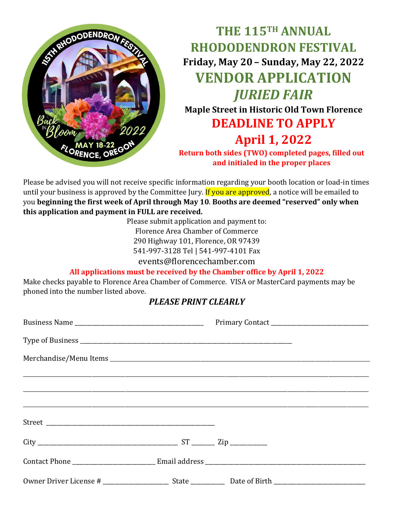

**THE 115TH ANNUAL RHODODENDRON FESTIVAL Friday, May 20 – Sunday, May 22, 2022 VENDOR APPLICATION** *JURIED FAIR* **Maple Street in Historic Old Town Florence DEADLINE TO APPLY April 1, 2022 Return both sides (TWO) completed pages, filled out and initialed in the proper places**

Please be advised you will not receive specific information regarding your booth location or load-in times until your business is approved by the Committee Jury. If you are approved, a notice will be emailed to you **beginning the first week of April through May 10**. **Booths are deemed "reserved" only when this application and payment in FULL are received.**

> Please submit application and payment to: Florence Area Chamber of Commerce 290 Highway 101, Florence, OR 97439

541-997-3128 Tel | 541-997-4101 Fax

events@florencechamber.com

## **All applications must be received by the Chamber office by April 1, 2022**

Make checks payable to Florence Area Chamber of Commerce. VISA or MasterCard payments may be phoned into the number listed above.

## *PLEASE PRINT CLEARLY*